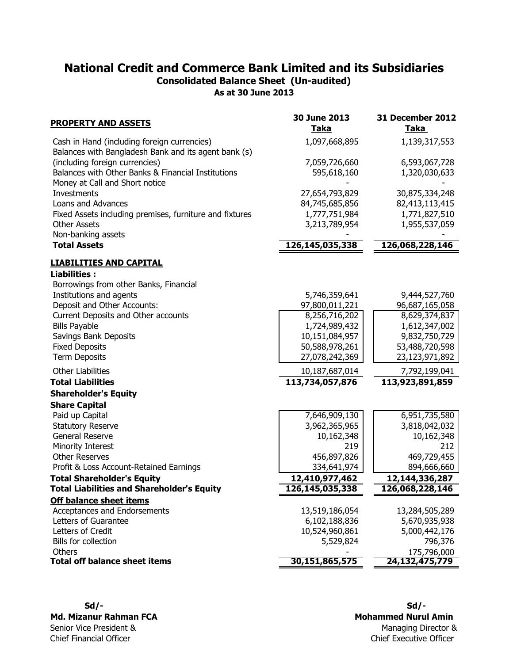### National Credit and Commerce Bank Limited and its Subsidiaries Consolidated Balance Sheet (Un-audited)

As at 30 June 2013

| <b>PROPERTY AND ASSETS</b>                                                                          | 30 June 2013<br><b>Taka</b> | 31 December 2012<br><b>Taka</b> |
|-----------------------------------------------------------------------------------------------------|-----------------------------|---------------------------------|
| Cash in Hand (including foreign currencies)<br>Balances with Bangladesh Bank and its agent bank (s) | 1,097,668,895               | 1,139,317,553                   |
| (including foreign currencies)                                                                      | 7,059,726,660               | 6,593,067,728                   |
| Balances with Other Banks & Financial Institutions<br>Money at Call and Short notice                | 595,618,160                 | 1,320,030,633                   |
| Investments                                                                                         | 27,654,793,829              | 30,875,334,248                  |
| Loans and Advances                                                                                  | 84,745,685,856              | 82,413,113,415                  |
| Fixed Assets including premises, furniture and fixtures                                             | 1,777,751,984               | 1,771,827,510                   |
| <b>Other Assets</b>                                                                                 | 3,213,789,954               | 1,955,537,059                   |
| Non-banking assets                                                                                  |                             |                                 |
| <b>Total Assets</b>                                                                                 | 126,145,035,338             | 126,068,228,146                 |
| <b>LIABILITIES AND CAPITAL</b>                                                                      |                             |                                 |
| <b>Liabilities:</b>                                                                                 |                             |                                 |
| Borrowings from other Banks, Financial                                                              |                             |                                 |
| Institutions and agents                                                                             | 5,746,359,641               | 9,444,527,760                   |
| Deposit and Other Accounts:                                                                         | 97,800,011,221              | 96,687,165,058                  |
| Current Deposits and Other accounts                                                                 | 8,256,716,202               | 8,629,374,837                   |
| <b>Bills Payable</b>                                                                                | 1,724,989,432               | 1,612,347,002                   |
| Savings Bank Deposits                                                                               | 10,151,084,957              | 9,832,750,729                   |
| <b>Fixed Deposits</b><br><b>Term Deposits</b>                                                       | 50,588,978,261              | 53,488,720,598                  |
|                                                                                                     | 27,078,242,369              | 23,123,971,892                  |
| <b>Other Liabilities</b>                                                                            | 10,187,687,014              | 7,792,199,041                   |
| <b>Total Liabilities</b>                                                                            | 113,734,057,876             | 113,923,891,859                 |
| <b>Shareholder's Equity</b>                                                                         |                             |                                 |
| <b>Share Capital</b>                                                                                |                             |                                 |
| Paid up Capital                                                                                     | 7,646,909,130               | 6,951,735,580                   |
| <b>Statutory Reserve</b>                                                                            | 3,962,365,965               | 3,818,042,032                   |
| General Reserve                                                                                     | 10,162,348                  | 10,162,348                      |
| Minority Interest                                                                                   | 219                         | 212                             |
| <b>Other Reserves</b>                                                                               | 456,897,826                 | 469,729,455                     |
| Profit & Loss Account-Retained Earnings                                                             | 334,641,974                 | 894,666,660                     |
| <b>Total Shareholder's Equity</b>                                                                   | 12,410,977,462              | 12, 144, 336, 287               |
| <b>Total Liabilities and Shareholder's Equity</b>                                                   | 126,145,035,338             | 126,068,228,146                 |
| <b>Off balance sheet items</b>                                                                      |                             |                                 |
| Acceptances and Endorsements                                                                        | 13,519,186,054              | 13,284,505,289                  |
| Letters of Guarantee                                                                                | 6,102,188,836               | 5,670,935,938                   |
| Letters of Credit                                                                                   | 10,524,960,861              | 5,000,442,176                   |
| Bills for collection                                                                                | 5,529,824                   | 796,376                         |
| Others<br><b>Total off balance sheet items</b>                                                      | 30,151,865,575              | 175,796,000<br>24,132,475,779   |
|                                                                                                     |                             |                                 |

Md. Mizanur Rahman FCA Senior Vice President & Chief Financial Officer

 Sd/- Sd/- Chief Executive Officer Managing Director & Mohammed Nurul Amin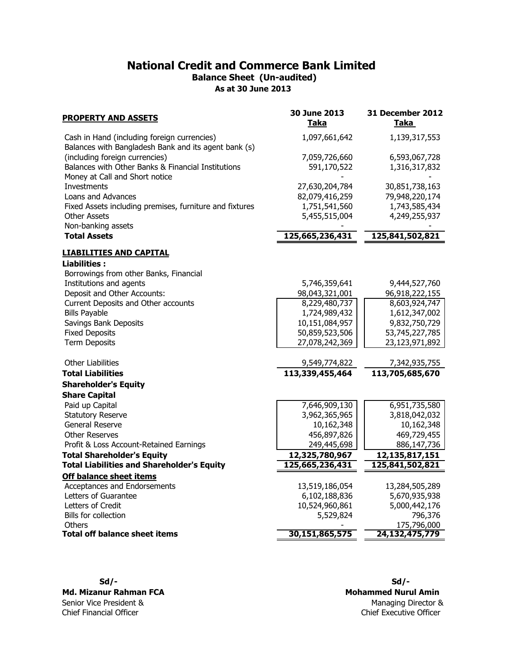### National Credit and Commerce Bank Limited Balance Sheet (Un-audited)

As at 30 June 2013

| <b>PROPERTY AND ASSETS</b>                                                                          | 30 June 2013<br>Taka | 31 December 2012<br>Taka |
|-----------------------------------------------------------------------------------------------------|----------------------|--------------------------|
| Cash in Hand (including foreign currencies)<br>Balances with Bangladesh Bank and its agent bank (s) | 1,097,661,642        | 1,139,317,553            |
| (including foreign currencies)                                                                      | 7,059,726,660        | 6,593,067,728            |
| Balances with Other Banks & Financial Institutions<br>Money at Call and Short notice                | 591,170,522          | 1,316,317,832            |
| <b>Investments</b>                                                                                  | 27,630,204,784       | 30,851,738,163           |
| Loans and Advances                                                                                  | 82,079,416,259       | 79,948,220,174           |
| Fixed Assets including premises, furniture and fixtures                                             | 1,751,541,560        | 1,743,585,434            |
| <b>Other Assets</b>                                                                                 | 5,455,515,004        | 4,249,255,937            |
| Non-banking assets                                                                                  |                      |                          |
| <b>Total Assets</b>                                                                                 | 125,665,236,431      | 125,841,502,821          |
| <b>LIABILITIES AND CAPITAL</b>                                                                      |                      |                          |
| <b>Liabilities:</b>                                                                                 |                      |                          |
| Borrowings from other Banks, Financial                                                              |                      |                          |
| Institutions and agents                                                                             | 5,746,359,641        | 9,444,527,760            |
| Deposit and Other Accounts:                                                                         | 98,043,321,001       | 96,918,222,155           |
| Current Deposits and Other accounts                                                                 | 8,229,480,737        | 8,603,924,747            |
| <b>Bills Payable</b>                                                                                | 1,724,989,432        | 1,612,347,002            |
| Savings Bank Deposits                                                                               | 10,151,084,957       | 9,832,750,729            |
| <b>Fixed Deposits</b>                                                                               | 50,859,523,506       | 53,745,227,785           |
| <b>Term Deposits</b>                                                                                | 27,078,242,369       | 23,123,971,892           |
| <b>Other Liabilities</b>                                                                            | 9,549,774,822        | 7,342,935,755            |
| <b>Total Liabilities</b>                                                                            | 113,339,455,464      | 113,705,685,670          |
| <b>Shareholder's Equity</b>                                                                         |                      |                          |
| <b>Share Capital</b>                                                                                |                      |                          |
| Paid up Capital                                                                                     | 7,646,909,130        | 6,951,735,580            |
| <b>Statutory Reserve</b>                                                                            | 3,962,365,965        | 3,818,042,032            |
| General Reserve                                                                                     | 10,162,348           | 10,162,348               |
| <b>Other Reserves</b>                                                                               | 456,897,826          | 469,729,455              |
| Profit & Loss Account-Retained Earnings                                                             | 249,445,698          | 886,147,736              |
| <b>Total Shareholder's Equity</b>                                                                   | 12,325,780,967       | 12,135,817,151           |
| <b>Total Liabilities and Shareholder's Equity</b>                                                   | 125,665,236,431      | 125,841,502,821          |
| <b>Off balance sheet items</b>                                                                      |                      |                          |
| Acceptances and Endorsements                                                                        | 13,519,186,054       | 13,284,505,289           |
| Letters of Guarantee                                                                                | 6,102,188,836        | 5,670,935,938            |
| Letters of Credit                                                                                   | 10,524,960,861       | 5,000,442,176            |
| Bills for collection                                                                                | 5,529,824            | 796,376                  |
| <b>Others</b>                                                                                       |                      | 175,796,000              |
| <b>Total off balance sheet items</b>                                                                | 30,151,865,575       | 24,132,475,779           |

#### Md. Mizanur Rahman FCA Senior Vice President & Chief Financial Officer

 Sd/- Sd/- Chief Executive Officer Managing Director & Mohammed Nurul Amin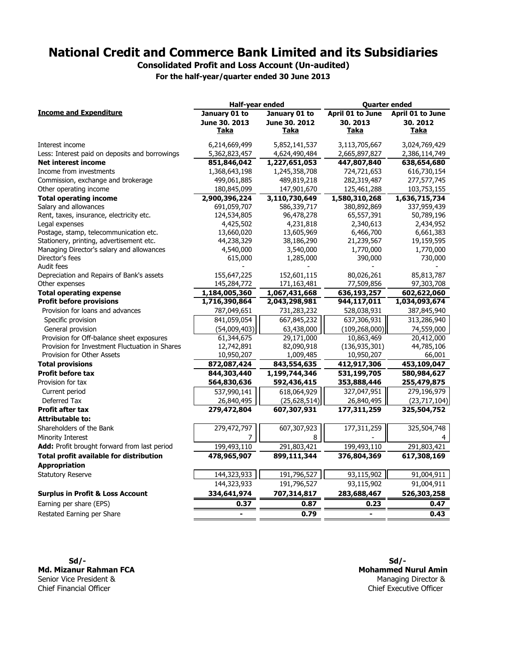### National Credit and Commerce Bank Limited and its Subsidiaries

Consolidated Profit and Loss Account (Un-audited) For the half-year/quarter ended 30 June 2013

January 01 to June 30, 2013 January 01 to June 30, 2012 April 01 to June 30, 2013 April 01 to June 30, 2012 <u>Taka Taka Taka Taka</u> T<u>aka</u> Interest income 6,214,669,499 5,852,141,537 3,113,705,667 3,024,769,429 Less: Interest paid on deposits and borrowings  $\frac{5,362,823,457}{\textbf{851},846,042} - \frac{4,624,490,484}{\textbf{1},227,651,053} - \frac{2,665,897,827}{\textbf{447},807,840} - \frac{2,386,114,749}{\textbf{638},654,680}$ Net interest income **851,846,042** 1,227,651,053 447,807,840 638,654,680 Income from investments 1,368,643,198 1,245,358,708 724,721,653 616,730,154 Commission, exchange and brokerage 499,061,885 489,819,218 282,319,487 277,577,745 Other operating income 180,845,099 147,901,670 125,461,288 103,753,155 Total operating income 2,900,396,224 3,110,730,649 1,580,310,268 1,636,715,734 Salary and allowances and the state of the state of the state of the state of the state of the state of the state of the state of the state of the state of the state of the state of the state of the state of the state of t Rent, taxes, insurance, electricity etc. 124,534,805 96,478,278 65,557,391 50,789,196 Legal expenses 4,425,502 4,231,818 2,340,613 2,434,952 Postage, stamp, telecommunication etc. 13,660,020 13,605,969 6,466,700 6,661,383 Stationery, printing, advertisement etc. 44,238,329 38,186,290 21,239,567 19,159,595 Managing Director's salary and allowances 4,540,000 3,540,000 1,770,000 1,770,000 Director's fees 615,000 1,285,000 390,000 730,000 Audit fees - - - - Depreciation and Repairs of Bank's assets 155,647,225 152,601,115 80,026,261 85,813,787 Other expenses 145,284,772 171,163,481 77,509,856 97,303,708 Total operating expense <br>Profit before provisions <br> $\frac{1,184,005,360}{1,716,390,864}$   $\frac{1,067,431,668}{2,043,298,981}$   $\frac{636,193,257}{944,117,011}$   $\frac{602,622,060}{1,034,093,674}$ Profit before provisions **1,716,390,864** 2,043,298,981 944,117,011 1,034,093,674 Provision for loans and advances 787,049,651 731,283,232 528,038,931 387,845,940 Specific provision **841,059,054** 667,845,232 637,306,931 8313,286,940 General provision 63,438,000 (109,268,000) 74,559,000 (54,009,403) Provision for Off-balance sheet exposures 61,344,675 29,171,000 10,863,469 20,412,000 Provision for Investment Fluctuation in Shares 12,742,891 82,090,918 (136,935,301) 44,785,106 Provision for Other Assets 10,950,207 1,009,485 10,950,207 66,001 Total provisions 872,087,424 843,554,635 412,917,306 453,109,047 Profit before tax 844,303,440 1,199,744,346 531,199,705 580,984,627 Provision for tax **564,830,636** 592,436,415 353,888,446 255,479,875 Current period **618,064,929** | 618,064,929 | 637,990,141 | 618,064,929 | 637,047,951 | 279,196,979 Deferred Tax (25,628,514) 26,840,495 26,840,495 (23,717,104) Profit after tax 279,472,804 607,307,931 177,311,259 325,504,752 Attributable to: Shareholders of the Bank 279,472,797 607,307,923 177,311,259 325,504,748 Minority Interest  $\begin{array}{ccc} 4 & 2 & 4 \end{array}$ Add: Profit brought forward from last period 199,493,110 291,803,421 199,493,110 291,803,421 Total profit available for distribution **478,965,907** 899,111,344 376,804,369 617,308,169 Appropriation Statutory Reserve 191,004,911 191,796,527 | 144,323,933 | 191,796,527 | 93,115,902 | 91,004,911 191,796,527 144,323,933 93,115,902 91,004,911 Surplus in Profit & Loss Account 334,641,974 707,314,817 283,688,467 526,303,258 Earning per share (EPS)  $\overline{0.37}$   $\overline{0.87}$   $\overline{0.87}$   $\overline{0.23}$   $\overline{0.47}$ Restated Earning per Share **0.43** 0.43 and 0.79 0.43 and 0.79 and 0.43 and 0.43 and 0.43 and 0.43 and 0.43 and 0.43 Income and Expenditure Half-year ended Quarter ended

 $Sd/-$ Md. Mizanur Rahman FCA Senior Vice President & Chief Financial Officer Chief Executive Officer

Mohammed Nurul Amin Managing Director &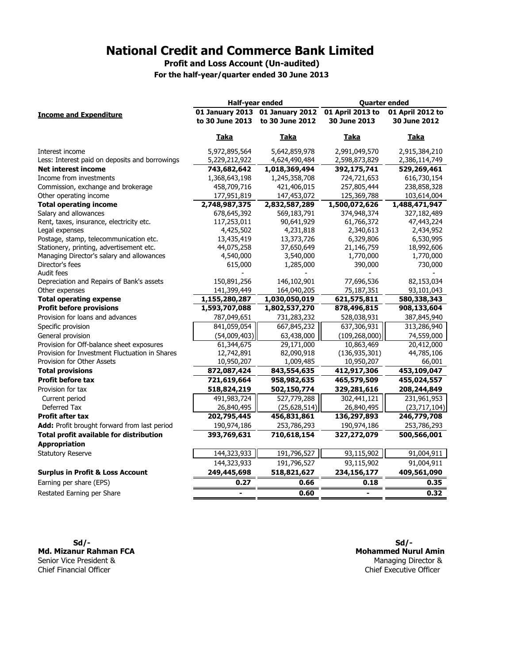Profit and Loss Account (Un-audited)

For the half-year/quarter ended 30 June 2013

|                                                | Half-year ended                                  |                 | <b>Quarter ended</b> |                  |  |  |
|------------------------------------------------|--------------------------------------------------|-----------------|----------------------|------------------|--|--|
| <b>Income and Expenditure</b>                  | 01 January 2013 01 January 2012 01 April 2013 to |                 |                      | 01 April 2012 to |  |  |
|                                                | to 30 June 2013                                  | to 30 June 2012 | 30 June 2013         | 30 June 2012     |  |  |
|                                                | Taka                                             | Taka            | Taka                 | Taka             |  |  |
| Interest income                                | 5,972,895,564                                    | 5,642,859,978   | 2,991,049,570        | 2,915,384,210    |  |  |
| Less: Interest paid on deposits and borrowings | 5,229,212,922                                    | 4,624,490,484   | 2,598,873,829        | 2,386,114,749    |  |  |
| <b>Net interest income</b>                     | 743,682,642                                      | 1,018,369,494   | 392,175,741          | 529,269,461      |  |  |
| Income from investments                        | 1,368,643,198                                    | 1,245,358,708   | 724,721,653          | 616,730,154      |  |  |
| Commission, exchange and brokerage             | 458,709,716                                      | 421,406,015     | 257,805,444          | 238,858,328      |  |  |
| Other operating income                         | 177,951,819                                      | 147,453,072     | 125,369,788          | 103,614,004      |  |  |
| <b>Total operating income</b>                  | 2,748,987,375                                    | 2,832,587,289   | 1,500,072,626        | 1,488,471,947    |  |  |
| Salary and allowances                          | 678,645,392                                      | 569,183,791     | 374,948,374          | 327,182,489      |  |  |
| Rent, taxes, insurance, electricity etc.       | 117,253,011                                      | 90,641,929      | 61,766,372           | 47,443,224       |  |  |
| Legal expenses                                 | 4,425,502                                        | 4,231,818       | 2,340,613            | 2,434,952        |  |  |
| Postage, stamp, telecommunication etc.         | 13,435,419                                       | 13,373,726      | 6,329,806            | 6,530,995        |  |  |
| Stationery, printing, advertisement etc.       | 44,075,258                                       | 37,650,649      | 21,146,759           | 18,992,606       |  |  |
| Managing Director's salary and allowances      | 4,540,000                                        | 3,540,000       | 1,770,000            | 1,770,000        |  |  |
| Director's fees                                | 615,000                                          | 1,285,000       | 390,000              | 730,000          |  |  |
| Audit fees                                     |                                                  |                 |                      |                  |  |  |
| Depreciation and Repairs of Bank's assets      | 150,891,256                                      | 146,102,901     | 77,696,536           | 82,153,034       |  |  |
| Other expenses                                 | 141,399,449                                      | 164,040,205     | 75,187,351           | 93,101,043       |  |  |
| <b>Total operating expense</b>                 | 1,155,280,287                                    | 1,030,050,019   | 621,575,811          | 580,338,343      |  |  |
| <b>Profit before provisions</b>                | 1,593,707,088                                    | 1,802,537,270   | 878,496,815          | 908,133,604      |  |  |
| Provision for loans and advances               | 787,049,651                                      | 731,283,232     | 528,038,931          | 387,845,940      |  |  |
| Specific provision                             | 841,059,054                                      | 667,845,232     | 637,306,931          | 313,286,940      |  |  |
| General provision                              | (54,009,403)                                     | 63,438,000      | (109, 268, 000)      | 74,559,000       |  |  |
| Provision for Off-balance sheet exposures      | 61,344,675                                       | 29,171,000      | 10,863,469           | 20,412,000       |  |  |
| Provision for Investment Fluctuation in Shares | 12,742,891                                       | 82,090,918      | (136, 935, 301)      | 44,785,106       |  |  |
| Provision for Other Assets                     | 10,950,207                                       | 1,009,485       | 10,950,207           | 66,001           |  |  |
| <b>Total provisions</b>                        | 872,087,424                                      | 843,554,635     | 412,917,306          | 453,109,047      |  |  |
| <b>Profit before tax</b>                       | 721,619,664                                      | 958,982,635     | 465,579,509          | 455,024,557      |  |  |
| Provision for tax                              | 518,824,219                                      | 502,150,774     | 329,281,616          | 208, 244, 849    |  |  |
| Current period                                 | 491,983,724                                      | 527,779,288     | 302,441,121          | 231,961,953      |  |  |
| Deferred Tax                                   | 26,840,495                                       | (25, 628, 514)  | 26,840,495           | (23, 717, 104)   |  |  |
| <b>Profit after tax</b>                        | 202,795,445                                      | 456,831,861     | 136,297,893          | 246,779,708      |  |  |
| Add: Profit brought forward from last period   | 190,974,186                                      | 253,786,293     | 190,974,186          | 253,786,293      |  |  |
| Total profit available for distribution        | 393,769,631                                      | 710,618,154     | 327,272,079          | 500,566,001      |  |  |
| <b>Appropriation</b>                           |                                                  |                 |                      |                  |  |  |
| <b>Statutory Reserve</b>                       | 144,323,933                                      | 191,796,527     | 93,115,902           | 91,004,911       |  |  |
|                                                | 144,323,933                                      | 191,796,527     | 93,115,902           | 91,004,911       |  |  |
| <b>Surplus in Profit &amp; Loss Account</b>    | 249,445,698                                      | 518,821,627     | 234,156,177          | 409,561,090      |  |  |
| Earning per share (EPS)                        | 0.27                                             | 0.66            | 0.18                 | 0.35             |  |  |
| Restated Earning per Share                     | $\qquad \qquad \blacksquare$                     | 0.60            |                      | 0.32             |  |  |

 Sd/- Sd/- Md. Mizanur Rahman FCA Senior Vice President &<br>Chief Financial Officer

Chief Executive Officer Mohammed Nurul Amin Managing Director &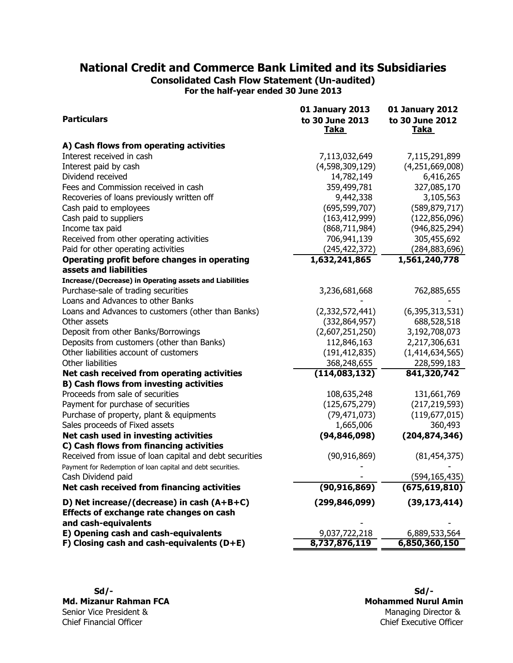## National Credit and Commerce Bank Limited and its Subsidiaries

Consolidated Cash Flow Statement (Un-audited)

For the half-year ended 30 June 2013

|                                                                                          | <b>01 January 2013</b>         | <b>01 January 2012</b>         |
|------------------------------------------------------------------------------------------|--------------------------------|--------------------------------|
| <b>Particulars</b>                                                                       | to 30 June 2013<br><u>Taka</u> | to 30 June 2012<br><u>Taka</u> |
| A) Cash flows from operating activities                                                  |                                |                                |
| Interest received in cash                                                                | 7,113,032,649                  | 7,115,291,899                  |
| Interest paid by cash                                                                    | (4,598,309,129)                | (4,251,669,008)                |
| Dividend received                                                                        | 14,782,149                     | 6,416,265                      |
| Fees and Commission received in cash                                                     | 359,499,781                    | 327,085,170                    |
| Recoveries of loans previously written off                                               | 9,442,338                      | 3,105,563                      |
| Cash paid to employees                                                                   | (695, 599, 707)                | (589, 879, 717)                |
| Cash paid to suppliers                                                                   | (163, 412, 999)                | (122, 856, 096)                |
| Income tax paid                                                                          | (868, 711, 984)                | (946, 825, 294)                |
| Received from other operating activities                                                 | 706,941,139                    | 305,455,692                    |
| Paid for other operating activities                                                      | (245,422,372)                  | (284, 883, 696)                |
| Operating profit before changes in operating<br>assets and liabilities                   | 1,632,241,865                  | 1,561,240,778                  |
| Increase/(Decrease) in Operating assets and Liabilities                                  |                                |                                |
| Purchase-sale of trading securities                                                      | 3,236,681,668                  | 762,885,655                    |
| Loans and Advances to other Banks                                                        |                                |                                |
| Loans and Advances to customers (other than Banks)                                       | (2,332,572,441)                | (6,395,313,531)                |
| Other assets                                                                             | (332, 864, 957)                | 688,528,518                    |
| Deposit from other Banks/Borrowings                                                      | (2,607,251,250)                | 3,192,708,073                  |
| Deposits from customers (other than Banks)                                               | 112,846,163                    | 2,217,306,631                  |
| Other liabilities account of customers                                                   | (191, 412, 835)                | (1, 414, 634, 565)             |
| Other liabilities                                                                        | 368,248,655                    | 228,599,183                    |
| Net cash received from operating activities                                              | (114,083,132)                  | 841,320,742                    |
| <b>B) Cash flows from investing activities</b>                                           |                                |                                |
| Proceeds from sale of securities                                                         | 108,635,248                    | 131,661,769                    |
| Payment for purchase of securities                                                       | (125, 675, 279)                | (217, 219, 593)                |
| Purchase of property, plant & equipments                                                 | (79, 471, 073)                 | (119, 677, 015)                |
| Sales proceeds of Fixed assets                                                           | 1,665,006                      | 360,493                        |
| Net cash used in investing activities                                                    | (94, 846, 098)                 | (204, 874, 346)                |
| C) Cash flows from financing activities                                                  |                                |                                |
| Received from issue of loan capital and debt securities                                  | (90, 916, 869)                 | (81, 454, 375)                 |
| Payment for Redemption of loan capital and debt securities.                              |                                | (594, 165, 435)                |
| Cash Dividend paid<br>Net cash received from financing activities                        | (90, 916, 869)                 | (675, 619, 810)                |
|                                                                                          |                                |                                |
| D) Net increase/(decrease) in cash $(A+B+C)$<br>Effects of exchange rate changes on cash | (299, 846, 099)                | (39, 173, 414)                 |
| and cash-equivalents<br>E) Opening cash and cash-equivalents                             | 9,037,722,218                  | 6,889,533,564                  |
| F) Closing cash and cash-equivalents $(D+E)$                                             | 8,737,876,119                  | 6,850,360,150                  |
|                                                                                          |                                |                                |

Chief Executive Officer Managing Director & Mohammed Nurul Amin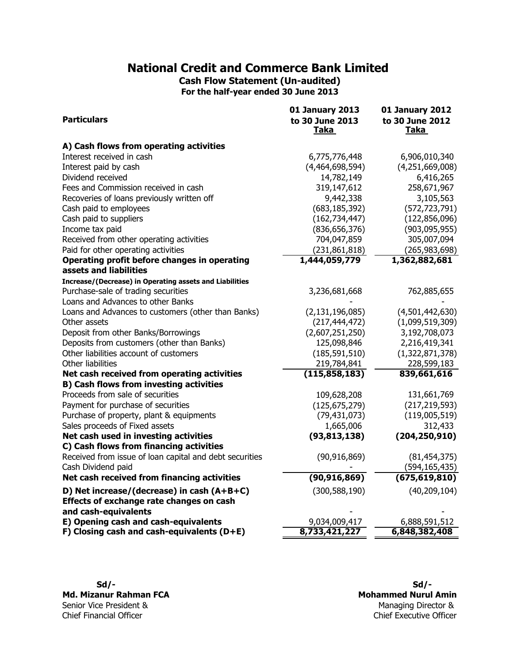Cash Flow Statement (Un-audited) For the half-year ended 30 June 2013

|                                                                                                | 01 January 2013                | <b>01 January 2012</b>         |  |  |
|------------------------------------------------------------------------------------------------|--------------------------------|--------------------------------|--|--|
| <b>Particulars</b>                                                                             | to 30 June 2013<br><b>Taka</b> | to 30 June 2012<br><b>Taka</b> |  |  |
| A) Cash flows from operating activities                                                        |                                |                                |  |  |
| Interest received in cash                                                                      | 6,775,776,448                  | 6,906,010,340                  |  |  |
| Interest paid by cash                                                                          | (4,464,698,594)                | (4,251,669,008)                |  |  |
| Dividend received                                                                              | 14,782,149                     | 6,416,265                      |  |  |
| Fees and Commission received in cash                                                           | 319,147,612                    | 258,671,967                    |  |  |
| Recoveries of loans previously written off                                                     | 9,442,338                      | 3,105,563                      |  |  |
| Cash paid to employees                                                                         | (683, 185, 392)                | (572, 723, 791)                |  |  |
| Cash paid to suppliers                                                                         | (162, 734, 447)                | (122, 856, 096)                |  |  |
| Income tax paid                                                                                | (836, 656, 376)                | (903,095,955)                  |  |  |
| Received from other operating activities                                                       | 704,047,859                    | 305,007,094                    |  |  |
| Paid for other operating activities                                                            | (231, 861, 818)                | (265, 983, 698)                |  |  |
| Operating profit before changes in operating                                                   | 1,444,059,779                  | 1,362,882,681                  |  |  |
| assets and liabilities                                                                         |                                |                                |  |  |
| Increase/(Decrease) in Operating assets and Liabilities<br>Purchase-sale of trading securities | 3,236,681,668                  | 762,885,655                    |  |  |
| Loans and Advances to other Banks                                                              |                                |                                |  |  |
| Loans and Advances to customers (other than Banks)                                             | (2, 131, 196, 085)             | (4,501,442,630)                |  |  |
| Other assets                                                                                   | (217, 444, 472)                | (1,099,519,309)                |  |  |
| Deposit from other Banks/Borrowings                                                            | (2,607,251,250)                | 3,192,708,073                  |  |  |
| Deposits from customers (other than Banks)                                                     | 125,098,846                    | 2,216,419,341                  |  |  |
| Other liabilities account of customers                                                         | (185, 591, 510)                | (1,322,871,378)                |  |  |
| Other liabilities                                                                              | 219,784,841                    | 228,599,183                    |  |  |
| Net cash received from operating activities                                                    | (115, 858, 183)                | 839,661,616                    |  |  |
| <b>B) Cash flows from investing activities</b>                                                 |                                |                                |  |  |
| Proceeds from sale of securities                                                               | 109,628,208                    | 131,661,769                    |  |  |
| Payment for purchase of securities                                                             | (125, 675, 279)                | (217, 219, 593)                |  |  |
| Purchase of property, plant & equipments                                                       | (79, 431, 073)                 | (119,005,519)                  |  |  |
| Sales proceeds of Fixed assets                                                                 | 1,665,006                      | 312,433                        |  |  |
| Net cash used in investing activities                                                          | (93, 813, 138)                 | (204, 250, 910)                |  |  |
| C) Cash flows from financing activities                                                        |                                |                                |  |  |
| Received from issue of loan capital and debt securities                                        | (90, 916, 869)                 | (81, 454, 375)                 |  |  |
| Cash Dividend paid                                                                             |                                | (594, 165, 435)                |  |  |
| Net cash received from financing activities                                                    | (90, 916, 869)                 | (675, 619, 810)                |  |  |
| D) Net increase/(decrease) in cash (A+B+C)                                                     | (300, 588, 190)                | (40, 209, 104)                 |  |  |
| Effects of exchange rate changes on cash                                                       |                                |                                |  |  |
| and cash-equivalents                                                                           |                                |                                |  |  |
| E) Opening cash and cash-equivalents<br>F) Closing cash and cash-equivalents $(D+E)$           | 9,034,009,417<br>8,733,421,227 | 6,888,591,512<br>6,848,382,408 |  |  |
|                                                                                                |                                |                                |  |  |

 Sd/- Sd/- Md. Mizanur Rahman FCA Senior Vice President & Chief Financial Officer Chief Executive Officer

Managing Director & Mohammed Nurul Amin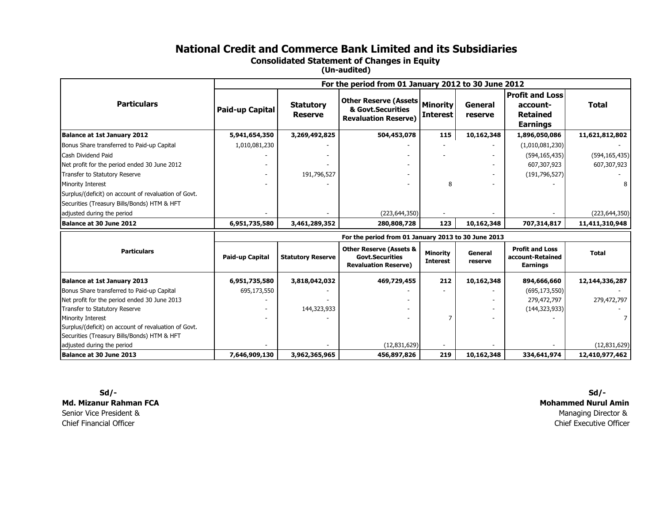### National Credit and Commerce Bank Limited and its Subsidiaries

Consolidated Statement of Changes in Equity

(Un-audited)

|                                                      | For the period from 01 January 2012 to 30 June 2012 |                                    |                                                                                             |                                    |                    |                                                                          |                 |
|------------------------------------------------------|-----------------------------------------------------|------------------------------------|---------------------------------------------------------------------------------------------|------------------------------------|--------------------|--------------------------------------------------------------------------|-----------------|
| <b>Particulars</b>                                   | Paid-up Capital                                     | <b>Statutory</b><br><b>Reserve</b> | <b>Other Reserve (Assets</b><br>& Govt.Securities<br><b>Revaluation Reserve)</b>            | <b>Minority</b><br><b>Interest</b> | General<br>reserve | <b>Profit and Loss</b><br>account-<br><b>Retained</b><br><b>Earnings</b> | <b>Total</b>    |
| <b>Balance at 1st January 2012</b>                   | 5,941,654,350                                       | 3,269,492,825                      | 504,453,078                                                                                 | 115                                | 10,162,348         | 1,896,050,086                                                            | 11,621,812,802  |
| Bonus Share transferred to Paid-up Capital           | 1,010,081,230                                       |                                    |                                                                                             |                                    |                    | (1,010,081,230)                                                          |                 |
| Cash Dividend Paid                                   |                                                     |                                    |                                                                                             |                                    |                    | (594, 165, 435)                                                          | (594, 165, 435) |
| Net profit for the period ended 30 June 2012         |                                                     |                                    |                                                                                             |                                    |                    | 607,307,923                                                              | 607,307,923     |
| Transfer to Statutory Reserve                        |                                                     | 191,796,527                        |                                                                                             |                                    |                    | (191, 796, 527)                                                          |                 |
| Minority Interest                                    |                                                     |                                    |                                                                                             | 8                                  |                    |                                                                          | 8               |
| Surplus/(deficit) on account of revaluation of Govt. |                                                     |                                    |                                                                                             |                                    |                    |                                                                          |                 |
| Securities (Treasury Bills/Bonds) HTM & HFT          |                                                     |                                    |                                                                                             |                                    |                    |                                                                          |                 |
| adjusted during the period                           |                                                     |                                    | (223, 644, 350)                                                                             |                                    |                    |                                                                          | (223, 644, 350) |
| Balance at 30 June 2012                              | 6,951,735,580                                       | 3,461,289,352                      | 280,808,728                                                                                 | 123                                | 10,162,348         | 707,314,817                                                              | 11,411,310,948  |
|                                                      |                                                     |                                    | For the period from 01 January 2013 to 30 June 2013                                         |                                    |                    |                                                                          |                 |
| <b>Particulars</b>                                   | Paid-up Capital                                     | <b>Statutory Reserve</b>           | <b>Other Reserve (Assets &amp;</b><br><b>Govt.Securities</b><br><b>Revaluation Reserve)</b> | <b>Minority</b><br><b>Interest</b> | General<br>reserve | <b>Profit and Loss</b><br>account-Retained<br><b>Earnings</b>            | <b>Total</b>    |
| <b>Balance at 1st January 2013</b>                   | 6,951,735,580                                       | 3,818,042,032                      | 469,729,455                                                                                 | 212                                | 10,162,348         | 894,666,660                                                              | 12,144,336,287  |
| Bonus Share transferred to Paid-up Capital           | 695,173,550                                         |                                    |                                                                                             |                                    |                    | (695, 173, 550)                                                          |                 |
| Net profit for the period ended 30 June 2013         |                                                     |                                    |                                                                                             |                                    |                    | 279,472,797                                                              | 279,472,797     |
| Transfer to Statutory Reserve                        |                                                     | 144,323,933                        |                                                                                             |                                    |                    | (144, 323, 933)                                                          |                 |
| Minority Interest                                    |                                                     |                                    |                                                                                             |                                    |                    |                                                                          | $\overline{7}$  |
| Surplus/(deficit) on account of revaluation of Govt. |                                                     |                                    |                                                                                             |                                    |                    |                                                                          |                 |
| Securities (Treasury Bills/Bonds) HTM & HFT          |                                                     |                                    |                                                                                             |                                    |                    |                                                                          |                 |
| adjusted during the period                           |                                                     |                                    | (12,831,629)                                                                                |                                    |                    |                                                                          | (12,831,629)    |
| Balance at 30 June 2013                              | 7,646,909,130                                       | 3,962,365,965                      | 456,897,826                                                                                 | 219                                | 10,162,348         | 334,641,974                                                              | 12,410,977,462  |

 Sd/- Sd/-Md. Mizanur Rahman FCASenior Vice President &Chief Financial Officer Chief Financial Officer Chief Executive Officer

 Mohammed Nurul AminManaging Director &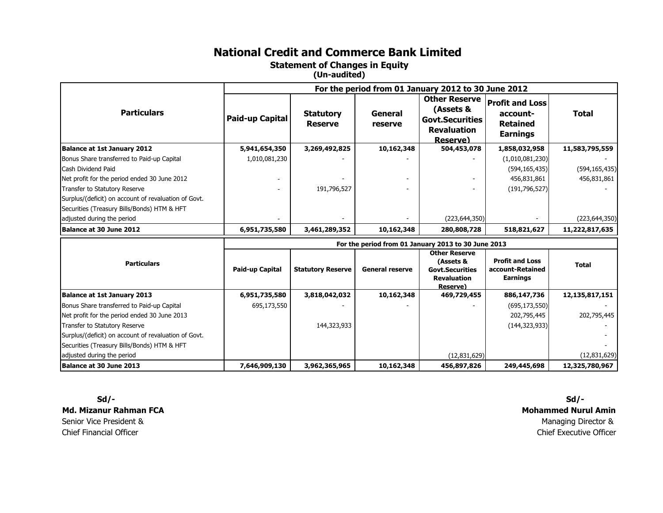Statement of Changes in Equity

(Un-audited)

|                                                      | For the period from 01 January 2012 to 30 June 2012 |                                    |                    |                                                                                               |                                                                          |                 |
|------------------------------------------------------|-----------------------------------------------------|------------------------------------|--------------------|-----------------------------------------------------------------------------------------------|--------------------------------------------------------------------------|-----------------|
| <b>Particulars</b>                                   | Paid-up Capital                                     | <b>Statutory</b><br><b>Reserve</b> | General<br>reserve | <b>Other Reserve</b><br>(Assets &<br><b>Govt.Securities</b><br><b>Revaluation</b><br>Reserve) | <b>Profit and Loss</b><br>account-<br><b>Retained</b><br><b>Earnings</b> | <b>Total</b>    |
| <b>Balance at 1st January 2012</b>                   | 5,941,654,350                                       | 3,269,492,825                      | 10,162,348         | 504,453,078                                                                                   | 1,858,032,958                                                            | 11,583,795,559  |
| Bonus Share transferred to Paid-up Capital           | 1,010,081,230                                       |                                    |                    |                                                                                               | (1,010,081,230)                                                          |                 |
| Cash Dividend Paid                                   |                                                     |                                    |                    |                                                                                               | (594, 165, 435)                                                          | (594, 165, 435) |
| Net profit for the period ended 30 June 2012         |                                                     |                                    |                    |                                                                                               | 456,831,861                                                              | 456,831,861     |
| Transfer to Statutory Reserve                        |                                                     | 191,796,527                        |                    |                                                                                               | (191, 796, 527)                                                          |                 |
| Surplus/(deficit) on account of revaluation of Govt. |                                                     |                                    |                    |                                                                                               |                                                                          |                 |
| Securities (Treasury Bills/Bonds) HTM & HFT          |                                                     |                                    |                    |                                                                                               |                                                                          |                 |
| adjusted during the period                           |                                                     |                                    |                    | (223, 644, 350)                                                                               |                                                                          | (223, 644, 350) |
| Balance at 30 June 2012                              | 6,951,735,580                                       | 3,461,289,352                      | 10,162,348         | 280,808,728                                                                                   | 518,821,627                                                              | 11,222,817,635  |
|                                                      |                                                     |                                    |                    |                                                                                               |                                                                          |                 |

|                                                      | For the period from 01 January 2013 to 30 June 2013 |                          |                        |                                                                                               |                                                        |                |
|------------------------------------------------------|-----------------------------------------------------|--------------------------|------------------------|-----------------------------------------------------------------------------------------------|--------------------------------------------------------|----------------|
| <b>Particulars</b>                                   | <b>Paid-up Capital</b>                              | <b>Statutory Reserve</b> | <b>General reserve</b> | <b>Other Reserve</b><br>(Assets &<br><b>Govt.Securities</b><br><b>Revaluation</b><br>Reserve) | <b>Profit and Loss</b><br>account-Retained<br>Earnings | <b>Total</b>   |
| <b>Balance at 1st January 2013</b>                   | 6,951,735,580                                       | 3,818,042,032            | 10,162,348             | 469,729,455                                                                                   | 886,147,736                                            | 12,135,817,151 |
| Bonus Share transferred to Paid-up Capital           | 695,173,550                                         |                          |                        |                                                                                               | (695, 173, 550)                                        |                |
| Net profit for the period ended 30 June 2013         |                                                     |                          |                        |                                                                                               | 202,795,445                                            | 202,795,445    |
| Transfer to Statutory Reserve                        |                                                     | 144,323,933              |                        |                                                                                               | (144, 323, 933)                                        |                |
| Surplus/(deficit) on account of revaluation of Govt. |                                                     |                          |                        |                                                                                               |                                                        |                |
| Securities (Treasury Bills/Bonds) HTM & HFT          |                                                     |                          |                        |                                                                                               |                                                        |                |
| adjusted during the period                           |                                                     |                          |                        | (12,831,629)                                                                                  |                                                        | (12,831,629)   |
| Balance at 30 June 2013                              | 7,646,909,130                                       | 3,962,365,965            | 10,162,348             | 456,897,826                                                                                   | 249,445,698                                            | 12,325,780,967 |

 Sd/- Md. Mizanur Rahman FCASenior Vice President &Chief Financial Officer

Managing Director & Chief Executive Officer Sd/-Mohammed Nurul Amin